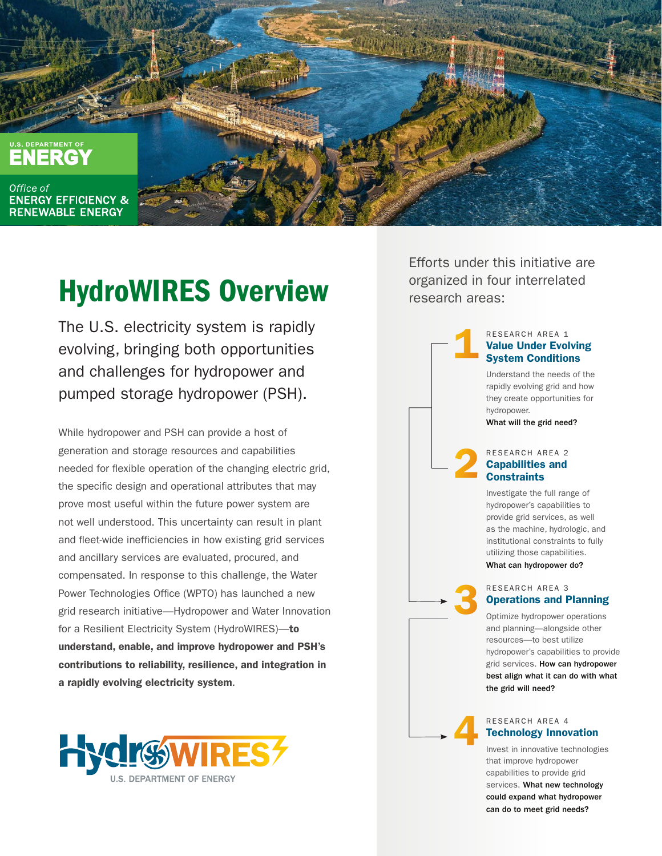

# HydroWIRES Overview

The U.S. electricity system is rapidly evolving, bringing both opportunities and challenges for hydropower and pumped storage hydropower (PSH).

While hydropower and PSH can provide a host of generation and storage resources and capabilities needed for flexible operation of the changing electric grid, the specific design and operational attributes that may prove most useful within the future power system are not well understood. This uncertainty can result in plant and fleet-wide inefficiencies in how existing grid services and ancillary services are evaluated, procured, and compensated. In response to this challenge, the Water Power Technologies Office (WPTO) has launched a new grid research initiative—Hydropower and Water Innovation for a Resilient Electricity System (HydroWIRES)-to understand, enable, and improve hydropower and PSH's contributions to reliability, resilience, and integration in a rapidly evolving electricity system.



Efforts under this initiative are organized in four interrelated research areas:



and planning—alongside other resources—to best utilize hydropower's capabilities to provide grid services. How can hydropower best align what it can do with what the grid will need?

#### RESEARCH AREA 4 Technology Innovation

4

Invest in innovative technologies that improve hydropower capabilities to provide grid services. What new technology could expand what hydropower can do to meet grid needs?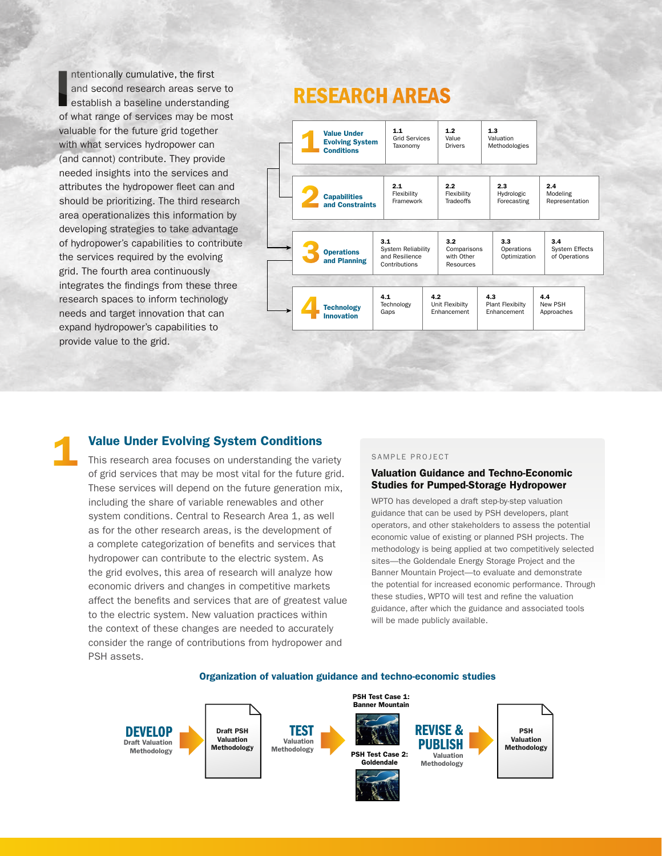I ntentionally cumulative, the first and second research areas serve to establish a baseline understanding of what range of services may be most valuable for the future grid together with what services hydropower can (and cannot) contribute. They provide needed insights into the services and attributes the hydropower fleet can and should be prioritizing. The third research area operationalizes this information by developing strategies to take advantage of hydropower's capabilities to contribute the services required by the evolving grid. The fourth area continuously integrates the findings from these three research spaces to inform technology needs and target innovation that can expand hydropower's capabilities to provide value to the grid.

## RESEARCH AREAS



Value Under Evolving System Conditions<br>
This research area focuses on understanding the variety<br>
of grid songings that may be most vital for the future grid valuation Guidan This research area focuses on understanding the variety of grid services that may be most vital for the future grid. These services will depend on the future generation mix, including the share of variable renewables and other system conditions. Central to Research Area 1, as well as for the other research areas, is the development of a complete categorization of benefits and services that hydropower can contribute to the electric system. As the grid evolves, this area of research will analyze how economic drivers and changes in competitive markets affect the benefits and services that are of greatest value to the electric system. New valuation practices within the context of these changes are needed to accurately consider the range of contributions from hydropower and PSH assets.

#### Valuation Guidance and Techno-Economic Studies for Pumped-Storage Hydropower

WPTO has developed a draft step-by-step valuation guidance that can be used by PSH developers, plant operators, and other stakeholders to assess the potential economic value of existing or planned PSH projects. The methodology is being applied at two competitively selected sites—the Goldendale Energy Storage Project and the Banner Mountain Project—to evaluate and demonstrate the potential for increased economic performance. Through these studies, WPTO will test and refine the valuation guidance, after which the guidance and associated tools will be made publicly available.



### Organization of valuation guidance and techno-economic studies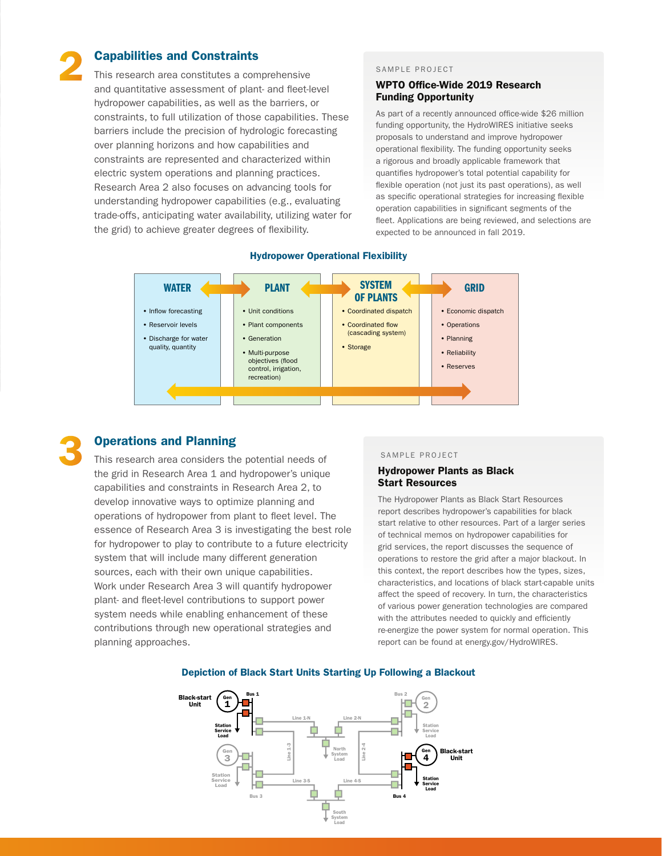### Capabilities and Constraints

This research area constitutes a comprehensive and quantitative assessment of plant- and fleet-level hydropower capabilities, as well as the barriers, or constraints, to full utilization of those capabilities. These barriers include the precision of hydrologic forecasting over planning horizons and how capabilities and constraints are represented and characterized within electric system operations and planning practices. Research Area 2 also focuses on advancing tools for understanding hydropower capabilities (e.g., evaluating trade-offs, anticipating water availability, utilizing water for the grid) to achieve greater degrees of flexibility.

#### SAMPLE PROJECT

#### WPTO Office-Wide 2019 Research Funding Opportunity

As part of a recently announced office-wide \$26 million funding opportunity, the HydroWIRES initiative seeks proposals to understand and improve hydropower operational flexibility. The funding opportunity seeks a rigorous and broadly applicable framework that quantifies hydropower's total potential capability for flexible operation (not just its past operations), as well as specific operational strategies for increasing flexible operation capabilities in significant segments of the fleet. Applications are being reviewed, and selections are expected to be announced in fall 2019.



#### Hydropower Operational Flexibility



2

### Operations and Planning

This research area considers the potential needs of the grid in Research Area 1 and hydropower's unique capabilities and constraints in Research Area 2, to develop innovative ways to optimize planning and operations of hydropower from plant to fleet level. The essence of Research Area 3 is investigating the best role for hydropower to play to contribute to a future electricity system that will include many different generation sources, each with their own unique capabilities. Work under Research Area 3 will quantify hydropower plant- and fleet-level contributions to support power system needs while enabling enhancement of these contributions through new operational strategies and planning approaches.

#### SAMPLE PROJECT

#### Hydropower Plants as Black Start Resources

The Hydropower Plants as Black Start Resources report describes hydropower's capabilities for black start relative to other resources. Part of a larger series of technical memos on hydropower capabilities for grid services, the report discusses the sequence of operations to restore the grid after a major blackout. In this context, the report describes how the types, sizes, characteristics, and locations of black start-capable units affect the speed of recovery. In turn, the characteristics of various power generation technologies are compared with the attributes needed to quickly and efficiently re-energize the power system for normal operation. This report can be found at energy.gov/HydroWIRES.



#### Depiction of Black Start Units Starting Up Following a Blackout